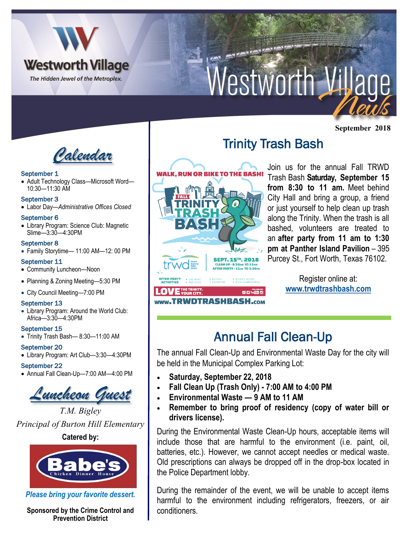

# Nestworth Village

**September 2018**



### September 1

• Adult Technology Class—Microsoft Word— 10:30—11:30 AM

### September 3

• Labor Day—*Administrative Offices Closed*

### September 6

• Library Program: Science Club: Magnetic Slime—3:30—4:30PM

### September 8

• Family Storytime— 11:00 AM—12: 00 PM

## September 11

- Community Luncheon—Noon
- Planning & Zoning Meeting—5:30 PM
- City Council Meeting—7:00 PM

## September 13

• Library Program: Around the World Club: Africa—3:30—4:30PM

#### September 15

• Trinity Trash Bash— 8:30—11:00 AM

## September 20

• Library Program: Art Club—3:30—4:30PM

## September 22

• Annual Fall Clean-Up—7:00 AM—4:00 PM

*Luncheon Guest*

*T.M. Bigley Principal of Burton Hill Elementary* **Catered by:** 



*Please bring your favorite dessert.* 

**Sponsored by the Crime Control and Prevention District**



# Trinity Trash Bash

Join us for the annual Fall TRWD Trash Bash **Saturday, September 15 from 8:30 to 11 am.** Meet behind City Hall and bring a group, a friend or just yourself to help clean up trash along the Trinity. When the trash is all bashed, volunteers are treated to an **after party from 11 am to 1:30 pm at Panther Island Pavilion** – 395 Purcey St., Fort Worth, Texas 76102.

> Register online at: **[www.trwdtrashbash.com](http://www.trwdtrashbash.com)**

# Annual Fall Clean-Up

The annual Fall Clean-Up and Environmental Waste Day for the city will be held in the Municipal Complex Parking Lot:

- **Saturday, September 22, 2018**
- **Fall Clean Up (Trash Only) - 7:00 AM to 4:00 PM**
- **Environmental Waste — 9 AM to 11 AM**
- **Remember to bring proof of residency (copy of water bill or drivers license).**

During the Environmental Waste Clean-Up hours, acceptable items will include those that are harmful to the environment (i.e. paint, oil, batteries, etc.). However, we cannot accept needles or medical waste. Old prescriptions can always be dropped off in the drop-box located in the Police Department lobby.

During the remainder of the event, we will be unable to accept items harmful to the environment including refrigerators, freezers, or air conditioners.